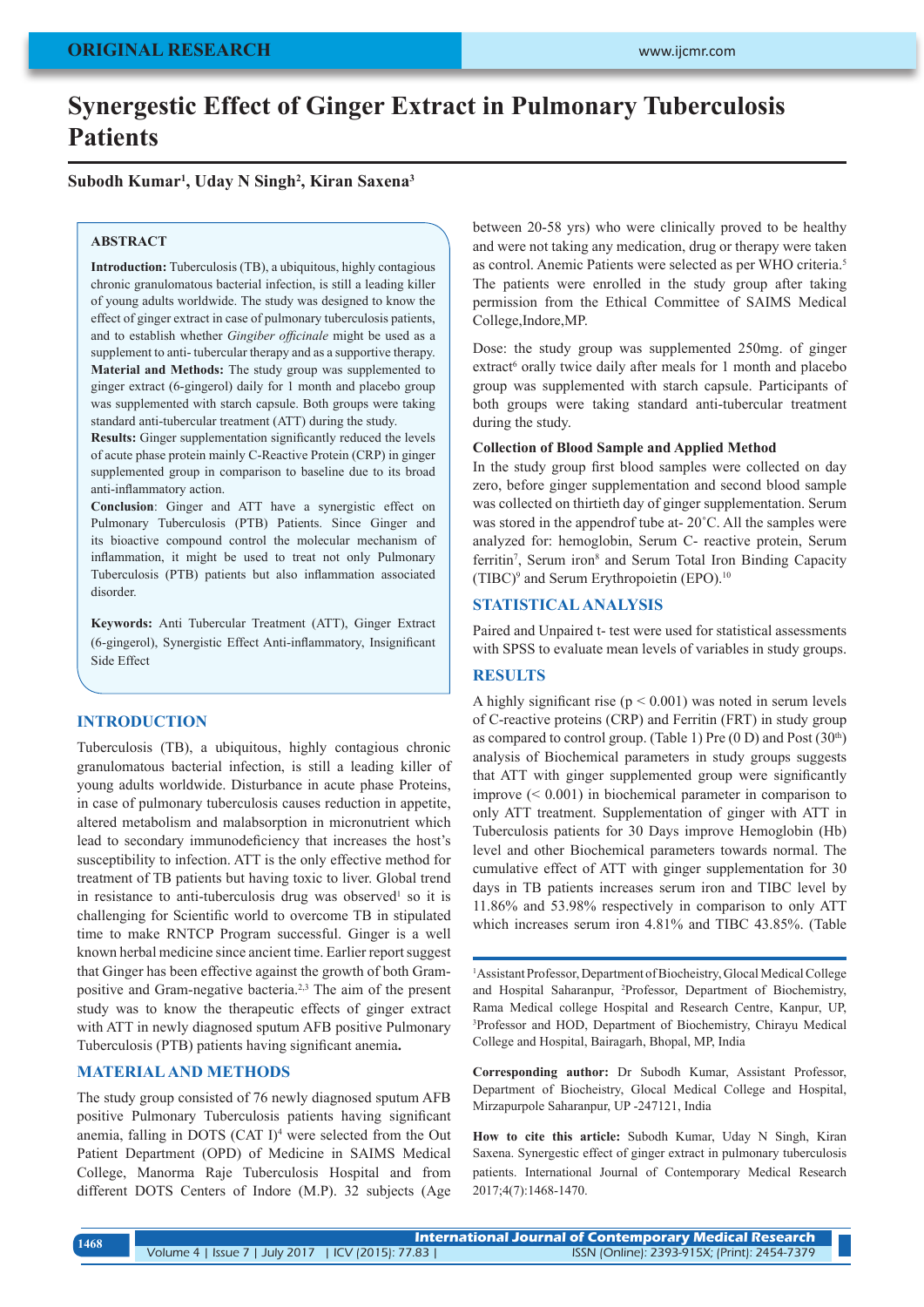# **Synergestic Effect of Ginger Extract in Pulmonary Tuberculosis Patients**

### **Subodh Kumar1 , Uday N Singh2 , Kiran Saxena3**

#### **ABSTRACT**

**Introduction:** Tuberculosis (TB), a ubiquitous, highly contagious chronic granulomatous bacterial infection, is still a leading killer of young adults worldwide. The study was designed to know the effect of ginger extract in case of pulmonary tuberculosis patients, and to establish whether *Gingiber officinale* might be used as a supplement to anti- tubercular therapy and as a supportive therapy. **Material and Methods:** The study group was supplemented to ginger extract (6-gingerol) daily for 1 month and placebo group was supplemented with starch capsule. Both groups were taking standard anti-tubercular treatment (ATT) during the study.

**Results:** Ginger supplementation significantly reduced the levels of acute phase protein mainly C-Reactive Protein (CRP) in ginger supplemented group in comparison to baseline due to its broad anti-inflammatory action.

**Conclusion**: Ginger and ATT have a synergistic effect on Pulmonary Tuberculosis (PTB) Patients. Since Ginger and its bioactive compound control the molecular mechanism of inflammation, it might be used to treat not only Pulmonary Tuberculosis (PTB) patients but also inflammation associated disorder.

**Keywords:** Anti Tubercular Treatment (ATT), Ginger Extract (6-gingerol), Synergistic Effect Anti-inflammatory, Insignificant Side Effect

### **INTRODUCTION**

Tuberculosis (TB), a ubiquitous, highly contagious chronic granulomatous bacterial infection, is still a leading killer of young adults worldwide. Disturbance in acute phase Proteins, in case of pulmonary tuberculosis causes reduction in appetite, altered metabolism and malabsorption in micronutrient which lead to secondary immunodeficiency that increases the host's susceptibility to infection. ATT is the only effective method for treatment of TB patients but having toxic to liver. Global trend in resistance to anti-tuberculosis drug was observed<sup>1</sup> so it is challenging for Scientific world to overcome TB in stipulated time to make RNTCP Program successful. Ginger is a well known herbal medicine since ancient time. Earlier report suggest that Ginger has been effective against the growth of both Grampositive and Gram-negative bacteria.2,3 The aim of the present study was to know the therapeutic effects of ginger extract with ATT in newly diagnosed sputum AFB positive Pulmonary Tuberculosis (PTB) patients having significant anemia**.**

### **MATERIAL AND METHODS**

The study group consisted of 76 newly diagnosed sputum AFB positive Pulmonary Tuberculosis patients having significant anemia, falling in DOTS (CAT I)<sup>4</sup> were selected from the Out Patient Department (OPD) of Medicine in SAIMS Medical College, Manorma Raje Tuberculosis Hospital and from different DOTS Centers of Indore (M.P). 32 subjects (Age

between 20-58 yrs) who were clinically proved to be healthy and were not taking any medication, drug or therapy were taken as control. Anemic Patients were selected as per WHO criteria.5 The patients were enrolled in the study group after taking permission from the Ethical Committee of SAIMS Medical College,Indore,MP.

Dose: the study group was supplemented 250mg. of ginger extract<sup>6</sup> orally twice daily after meals for 1 month and placebo group was supplemented with starch capsule. Participants of both groups were taking standard anti-tubercular treatment during the study.

#### **Collection of Blood Sample and Applied Method**

In the study group first blood samples were collected on day zero, before ginger supplementation and second blood sample was collected on thirtieth day of ginger supplementation. Serum was stored in the appendrof tube at-  $20^{\circ}$ C. All the samples were analyzed for: hemoglobin, Serum C- reactive protein, Serum ferritin<sup>7</sup>, Serum iron<sup>8</sup> and Serum Total Iron Binding Capacity (TIBC)<sup>9</sup> and Serum Erythropoietin (EPO).10

### **STATISTICAL ANALYSIS**

Paired and Unpaired t- test were used for statistical assessments with SPSS to evaluate mean levels of variables in study groups.

# **RESULTS**

A highly significant rise ( $p < 0.001$ ) was noted in serum levels of C-reactive proteins (CRP) and Ferritin (FRT) in study group as compared to control group. (Table 1) Pre (0 D) and Post (30<sup>th</sup>) analysis of Biochemical parameters in study groups suggests that ATT with ginger supplemented group were significantly improve (< 0.001) in biochemical parameter in comparison to only ATT treatment. Supplementation of ginger with ATT in Tuberculosis patients for 30 Days improve Hemoglobin (Hb) level and other Biochemical parameters towards normal. The cumulative effect of ATT with ginger supplementation for 30 days in TB patients increases serum iron and TIBC level by 11.86% and 53.98% respectively in comparison to only ATT which increases serum iron 4.81% and TIBC 43.85%. (Table

1 Assistant Professor, Department of Biocheistry, Glocal Medical College and Hospital Saharanpur, 2 Professor, Department of Biochemistry, Rama Medical college Hospital and Research Centre, Kanpur, UP, 3 Professor and HOD, Department of Biochemistry, Chirayu Medical College and Hospital, Bairagarh, Bhopal, MP, India

**Corresponding author:** Dr Subodh Kumar, Assistant Professor, Department of Biocheistry, Glocal Medical College and Hospital, Mirzapurpole Saharanpur, UP -247121, India

**How to cite this article:** Subodh Kumar, Uday N Singh, Kiran Saxena. Synergestic effect of ginger extract in pulmonary tuberculosis patients. International Journal of Contemporary Medical Research 2017;4(7):1468-1470.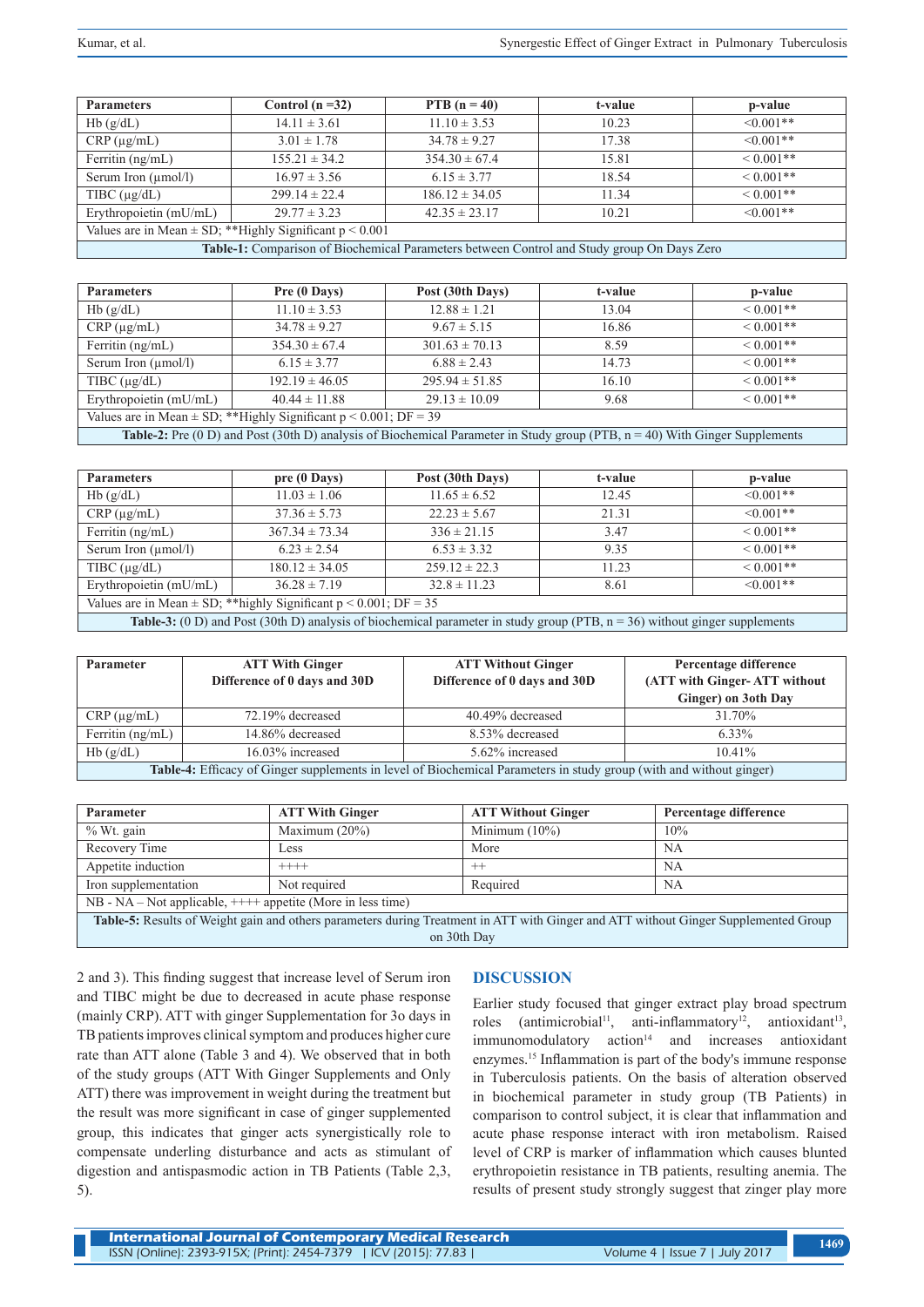| <b>Parameters</b>                                                                                 | Control $(n=32)$  | PTB $(n = 40)$     | t-value | p-value         |
|---------------------------------------------------------------------------------------------------|-------------------|--------------------|---------|-----------------|
| Hb(g/dL)                                                                                          | $14.11 \pm 3.61$  | $11.10 \pm 3.53$   | 10.23   | $\leq 0.001$ ** |
| $CRP(\mu g/mL)$                                                                                   | $3.01 \pm 1.78$   | $34.78 \pm 9.27$   | 17.38   | $\leq 0.001$ ** |
| Ferritin $(ng/mL)$                                                                                | $155.21 \pm 34.2$ | $354.30 \pm 67.4$  | 15.81   | $< 0.001**$     |
| Serum Iron $(\mu$ mol/l)                                                                          | $16.97 \pm 3.56$  | $6.15 \pm 3.77$    | 18.54   | $< 0.001**$     |
| TIBC $(\mu g/dL)$                                                                                 | $299.14 \pm 22.4$ | $186.12 \pm 34.05$ | 11.34   | $< 0.001**$     |
| Erythropoietin (mU/mL)                                                                            | $29.77 \pm 3.23$  | $42.35 \pm 23.17$  | 10.21   | $\leq 0.001$ ** |
| Values are in Mean $\pm$ SD; **Highly Significant $p < 0.001$                                     |                   |                    |         |                 |
| <b>Table-1:</b> Comparison of Biochemical Parameters between Control and Study group On Days Zero |                   |                    |         |                 |

| <b>Parameters</b>                                                                                                                     | Pre (0 Days)       | Post (30th Days)   | t-value | p-value        |
|---------------------------------------------------------------------------------------------------------------------------------------|--------------------|--------------------|---------|----------------|
| Hb(g/dL)                                                                                                                              | $11.10 \pm 3.53$   | $12.88 \pm 1.21$   | 13.04   | $\leq 0.001**$ |
| $CRP(\mu g/mL)$                                                                                                                       | $34.78 \pm 9.27$   | $9.67 \pm 5.15$    | 16.86   | $\leq 0.001**$ |
| Ferritin $(ng/mL)$                                                                                                                    | $354.30 \pm 67.4$  | $301.63 \pm 70.13$ | 8.59    | $\leq 0.001**$ |
| Serum Iron $(\mu$ mol/l)                                                                                                              | $6.15 \pm 3.77$    | $6.88 \pm 2.43$    | 14.73   | $\leq 0.001**$ |
| TIBC $(\mu g/dL)$                                                                                                                     | $192.19 \pm 46.05$ | $295.94 \pm 51.85$ | 16.10   | $\leq 0.001**$ |
| Erythropoietin (mU/mL)                                                                                                                | $40.44 \pm 11.88$  | $29.13 \pm 10.09$  | 9.68    | $\leq 0.001**$ |
| Values are in Mean $\pm$ SD; **Highly Significant $p < 0.001$ ; DF = 39                                                               |                    |                    |         |                |
| <b>Table-2:</b> Pre (0 D) and Post (30th D) analysis of Biochemical Parameter in Study group (PTB, $n = 40$ ) With Ginger Supplements |                    |                    |         |                |

| <b>Parameters</b>                                                                                                          | pre (0 Days)       | Post (30th Days)  | t-value | p-value         |
|----------------------------------------------------------------------------------------------------------------------------|--------------------|-------------------|---------|-----------------|
| Hb(g/dL)                                                                                                                   | $11.03 \pm 1.06$   | $11.65 \pm 6.52$  | 12.45   | $< 0.001$ **    |
| $CRP(\mu g/mL)$                                                                                                            | $37.36 \pm 5.73$   | $22.23 \pm 5.67$  | 21.31   | $\leq 0.001$ ** |
| Ferritin $(ng/mL)$                                                                                                         | $367.34 \pm 73.34$ | $336 \pm 21.15$   | 3.47    | $\leq 0.001**$  |
| Serum Iron $(\mu$ mol/l)                                                                                                   | $6.23 \pm 2.54$    | $6.53 \pm 3.32$   | 9.35    | $< 0.001$ **    |
| $T\text{IBC}(\mu\text{g}/dL)$                                                                                              | $180.12 \pm 34.05$ | $259.12 \pm 22.3$ | 11.23   | $< 0.001$ **    |
| Erythropoietin (mU/mL)                                                                                                     | $36.28 \pm 7.19$   | $32.8 \pm 11.23$  | 8.61    | $\leq 0.001**$  |
| Values are in Mean $\pm$ SD; **highly Significant $p < 0.001$ ; DF = 35                                                    |                    |                   |         |                 |
| Table-3: (0 D) and Post (30th D) analysis of biochemical parameter in study group (PTB, n = 36) without ginger supplements |                    |                   |         |                 |

| <b>Parameter</b>                                                                                                           | <b>ATT With Ginger</b><br>Difference of 0 days and 30D | <b>ATT Without Ginger</b><br>Difference of 0 days and 30D | Percentage difference<br>(ATT with Ginger-ATT without<br>Ginger) on 3oth Day |
|----------------------------------------------------------------------------------------------------------------------------|--------------------------------------------------------|-----------------------------------------------------------|------------------------------------------------------------------------------|
| $CRP(\mu g/mL)$                                                                                                            | 72.19% decreased                                       | 40.49% decreased                                          | 31.70%                                                                       |
| Ferritin $(ng/mL)$                                                                                                         | 14.86% decreased                                       | 8.53% decreased                                           | 6.33%                                                                        |
| Hb(g/dL)                                                                                                                   | 16.03% increased                                       | 5.62% increased                                           | $10.41\%$                                                                    |
| <b>Table-4:</b> Efficacy of Ginger supplements in level of Biochemical Parameters in study group (with and without ginger) |                                                        |                                                           |                                                                              |

| Parameter                                                                                                                           | <b>ATT With Ginger</b> | <b>ATT Without Ginger</b> | Percentage difference |
|-------------------------------------------------------------------------------------------------------------------------------------|------------------------|---------------------------|-----------------------|
| $%$ Wt. gain                                                                                                                        | Maximum $(20\%)$       | Minimum $(10\%)$          | 10%                   |
| Recovery Time                                                                                                                       | Less                   | More                      | <b>NA</b>             |
| Appetite induction                                                                                                                  | $++++-$                | $+ +$                     | <b>NA</b>             |
| Iron supplementation                                                                                                                | Not required           | Required                  | <b>NA</b>             |
| $NB - NA - Not applicable, ++++$ appetite (More in less time)                                                                       |                        |                           |                       |
| Table-5: Results of Weight gain and others parameters during Treatment in ATT with Ginger and ATT without Ginger Supplemented Group |                        |                           |                       |

on 30th Day

2 and 3). This finding suggest that increase level of Serum iron and TIBC might be due to decreased in acute phase response (mainly CRP). ATT with ginger Supplementation for 3o days in TB patients improves clinical symptom and produces higher cure rate than ATT alone (Table 3 and 4). We observed that in both of the study groups (ATT With Ginger Supplements and Only ATT) there was improvement in weight during the treatment but the result was more significant in case of ginger supplemented group, this indicates that ginger acts synergistically role to compensate underling disturbance and acts as stimulant of digestion and antispasmodic action in TB Patients (Table 2,3, 5).

## **DISCUSSION**

Earlier study focused that ginger extract play broad spectrum roles (antimicrobial<sup>11</sup>, anti-inflammatory<sup>12</sup>, antioxidant<sup>13</sup>,  $immunomodulatory action<sup>14</sup>$  and increases antioxidant enzymes.15 Inflammation is part of the body's immune response in Tuberculosis patients. On the basis of alteration observed in biochemical parameter in study group (TB Patients) in comparison to control subject, it is clear that inflammation and acute phase response interact with iron metabolism. Raised level of CRP is marker of inflammation which causes blunted erythropoietin resistance in TB patients, resulting anemia. The results of present study strongly suggest that zinger play more